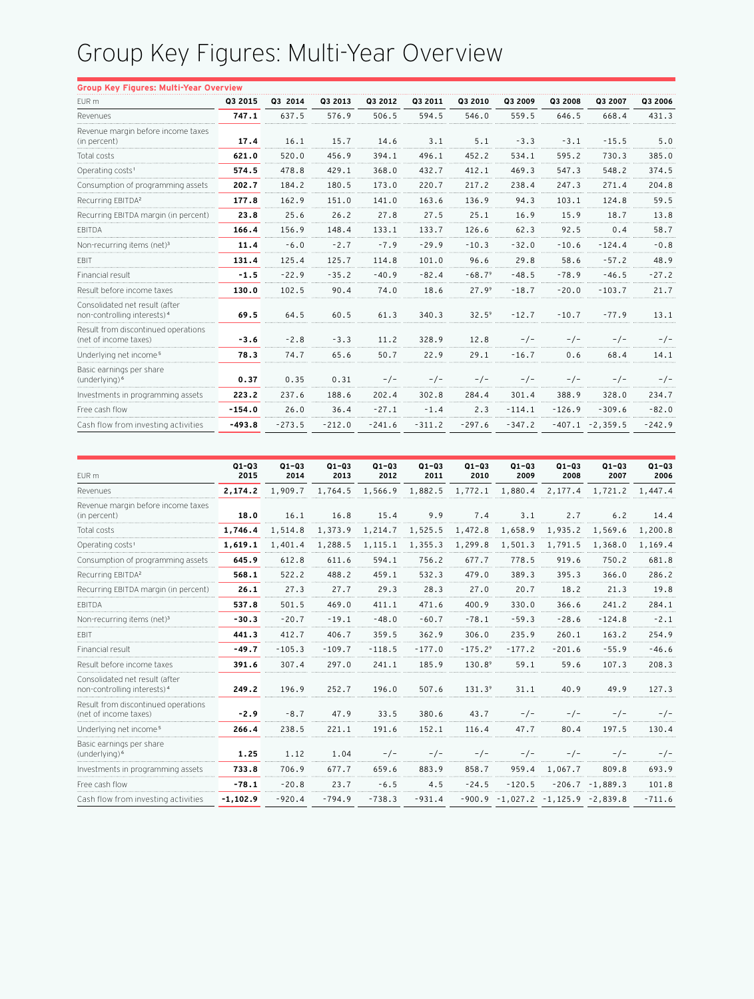## Group Key Figures: Multi-Year Overview

| <b>Group Key Figures: Multi-Year Overview</b>                             |          |          |          |          |          |                   |          |          |                    |          |
|---------------------------------------------------------------------------|----------|----------|----------|----------|----------|-------------------|----------|----------|--------------------|----------|
| EUR m                                                                     | Q3 2015  | Q3 2014  | Q3 2013  | Q3 2012  | Q3 2011  | Q3 2010           | Q3 2009  | Q3 2008  | Q3 2007            | Q3 2006  |
| Revenues                                                                  | 747.1    | 637.5    | 576.9    | 506.5    | 594.5    | 546.0             | 559.5    | 646.5    | 668.4              | 431.3    |
| Revenue margin before income taxes<br>(in percent)                        | 17.4     | 16.1     | 15.7     | 14.6     | 3.1      | 5.1               | $-3.3$   | $-3.1$   | $-15.5$            | 5.0      |
| Total costs                                                               | 621.0    | 520.0    | 456.9    | 394.1    | 496.1    | 452.2             | 534.1    | 595.2    | 730.3              | 385.0    |
| Operating costs <sup>1</sup>                                              | 574.5    | 478.8    | 429.1    | 368.0    | 432.7    | 412.1             | 469.3    | 547.3    | 548.2              | 374.5    |
| Consumption of programming assets                                         | 202.7    | 184.2    | 180.5    | 173.0    | 220.7    | 217.2             | 238.4    | 247.3    | 271.4              | 204.8    |
| Recurring EBITDA <sup>2</sup>                                             | 177.8    | 162.9    | 151.0    | 141.0    | 163.6    | 136.9             | 94.3     | 103.1    | 124.8              | 59.5     |
| Recurring EBITDA margin (in percent)                                      | 23.8     | 25.6     | 26.2     | 27.8     | 27.5     | 25.1              | 16.9     | 15.9     | 18.7               | 13.8     |
| <b>FBITDA</b>                                                             | 166.4    | 156.9    | 148.4    | 133.1    | 133.7    | 126.6             | 62.3     | 92.5     | 0.4                | 58.7     |
| Non-recurring items (net) <sup>3</sup>                                    | 11.4     | $-6.0$   | $-2.7$   | $-7.9$   | $-29.9$  | $-10.3$           | $-32.0$  | $-10.6$  | $-124.4$           | $-0.8$   |
| <b>EBIT</b>                                                               | 131.4    | 125.4    | 125.7    | 114.8    | 101.0    | 96.6              | 29.8     | 58.6     | $-57.2$            | 48.9     |
| Financial result                                                          | $-1.5$   | $-22.9$  | $-35.2$  | $-40.9$  | $-82.4$  | $-68.79$          | $-48.5$  | $-78.9$  | $-46.5$            | $-27.2$  |
| Result before income taxes                                                | 130.0    | 102.5    | 90.4     | 74.0     | 18.6     | 27.9 <sup>9</sup> | $-18.7$  | $-20.0$  | $-103.7$           | 21.7     |
| Consolidated net result (after<br>non-controlling interests) <sup>4</sup> | 69.5     | 64.5     | 60.5     | 61.3     | 340.3    | $32.5^9$          | $-12.7$  | $-10.7$  | $-77.9$            | 13.1     |
| Result from discontinued operations<br>(net of income taxes)              | $-3.6$   | $-2.8$   | $-3.3$   | 11.2     | 328.9    | 12.8              | $-/-$    | $-/-$    | $-/-$              | $-/-$    |
| Underlying net income <sup>5</sup>                                        | 78.3     | 74.7     | 65.6     | 50.7     | 22.9     | 29.1              | $-16.7$  | 0.6      | 68.4               | 14.1     |
| Basic earnings per share<br>(underlying) <sup>6</sup>                     | 0.37     | 0.35     | 0.31     | $-/-$    | $-/-$    | $-/-$             | $-/-$    | $-/-$    | $-/-$              | $-/-$    |
| Investments in programming assets                                         | 223.2    | 237.6    | 188.6    | 202.4    | 302.8    | 284.4             | 301.4    | 388.9    | 328.0              | 234.7    |
| Free cash flow                                                            | $-154.0$ | 26.0     | 36.4     | $-27.1$  | $-1.4$   | 2.3               | $-114.1$ | $-126.9$ | $-309.6$           | $-82.0$  |
| Cash flow from investing activities                                       | $-493.8$ | $-273.5$ | $-212.0$ | $-241.6$ | $-311.2$ | $-297.6$          | $-347.2$ |          | $-407.1 - 2,359.5$ | $-242.9$ |
|                                                                           |          |          |          |          |          |                   |          |          |                    |          |

| EUR m                                                                     | $Q1 - Q3$<br>2015 | $Q1 - Q3$<br>2014 | $Q1 - Q3$<br>2013 | $Q1 - Q3$<br>2012               | $Q1 - Q3$<br>2011 | $Q1 - Q3$<br>2010 | $Q1 - Q3$<br>2009                      | $Q1 - Q3$<br>2008 | $Q1 - Q3$<br>2007  | $Q1 - Q3$<br>2006 |
|---------------------------------------------------------------------------|-------------------|-------------------|-------------------|---------------------------------|-------------------|-------------------|----------------------------------------|-------------------|--------------------|-------------------|
| Revenues                                                                  | 2,174.2           | 1,909.7           |                   | 1,764.5 1,566.9 1,882.5 1,772.1 |                   |                   | 1,880.4                                | 2,177.4           | 1,721.2            | 1,447.4           |
| Revenue margin before income taxes<br>(in percent)                        | 18.0              | 16.1              | 16.8              | 15.4                            | 9.9               | 7.4               | 3.1                                    | 2.7               | 6.2                | 14.4              |
| Total costs                                                               | 1,746.4           | 1,514.8           | 1,373.9           | 1,214.7                         | 1,525.5           | 1,472.8           | 1,658.9                                | 1,935.2           | 1,569.6            | 1,200.8           |
| Operating costs <sup>1</sup>                                              | 1,619.1           | 1,401.4           | 1,288.5           | 1,115.1                         | 1,355.3           | 1,299.8           | 1,501.3                                | 1,791.5           | 1,368.0            | 1,169.4           |
| Consumption of programming assets                                         | 645.9             | 612.8             | 611.6             | 594.1                           | 756.2             | 677.7             | 778.5                                  | 919.6             | 750.2              | 681.8             |
| Recurring EBITDA <sup>2</sup>                                             | 568.1             | 522.2             | 488.2             | 459.1                           | 532.3             | 479.0             | 389.3                                  | 395.3             | 366.0              | 286.2             |
| Recurring EBITDA margin (in percent)                                      | 26.1              | 27.3              | 27.7              | 29.3                            | 28.3              | 27.0              | 20.7                                   | 18.2              | 21.3               | 19.8              |
| <b>EBITDA</b>                                                             | 537.8             | 501.5             | 469.0             | 411.1                           | 471.6             | 400.9             | 330.0                                  | 366.6             | 241.2              | 284.1             |
| Non-recurring items (net) <sup>3</sup>                                    | $-30.3$           | $-20.7$           | $-19.1$           | $-48.0$                         | $-60.7$           | $-78.1$           | $-59.3$                                | $-28.6$           | $-124.8$           | $-2.1$            |
| EBIT                                                                      | 441.3             | 412.7             | 406.7             | 359.5                           | 362.9             | 306.0             | 235.9                                  | 260.1             | 163.2              | 254.9             |
| Financial result                                                          | $-49.7$           | $-105.3$          | $-109.7$          | $-118.5$                        | $-177.0$          | $-175.29$         | $-177.2$                               | $-201.6$          | $-55.9$            | $-46.6$           |
| Result before income taxes                                                | 391.6             | 307.4             | 297.0             | 241.1                           | 185.9             | 130.89            | 59.1                                   | 59.6              | 107.3              | 208.3             |
| Consolidated net result (after<br>non-controlling interests) <sup>4</sup> | 249.2             | 196.9             | 252.7             | 196.0                           | 507.6             | $131.3^9$         | 31.1                                   | 40.9              | 49.9               | 127.3             |
| Result from discontinued operations<br>(net of income taxes)              | $-2.9$            | $-8.7$            | 47.9              | 33.5                            | 380.6             | 43.7              | $-/-$                                  | $-/-$             |                    | $-/-$             |
| Underlying net income <sup>5</sup>                                        | 266.4             | 238.5             | 221.1             | 191.6                           | 152.1             | 116.4             | 47.7                                   | 80.4              | 197.5              | 130.4             |
| Basic earnings per share<br>(underlying) <sup>6</sup>                     | 1.25              | 1.12              | 1.04              | $-/-$                           | $-/-$             | $-/-$             | $-/-$                                  | $-/-$             | $-/-$              | $-/-$             |
| Investments in programming assets                                         | 733.8             | 706.9             | 677.7             | 659.6                           | 883.9             | 858.7             | 959.4                                  | 1,067.7           | 809.8              | 693.9             |
| Free cash flow                                                            | $-78.1$           | $-20.8$           | 23.7              | $-6.5$                          | 4.5               | $-24.5$           | $-120.5$                               |                   | $-206.7 - 1,889.3$ | 101.8             |
| Cash flow from investing activities                                       | $-1, 102.9$       | $-920.4$          | $-794.9$          | $-738.3$                        | $-931.4$          |                   | $-900.9 - 1,027.2 - 1,125.9 - 2,839.8$ |                   |                    | $-711.6$          |